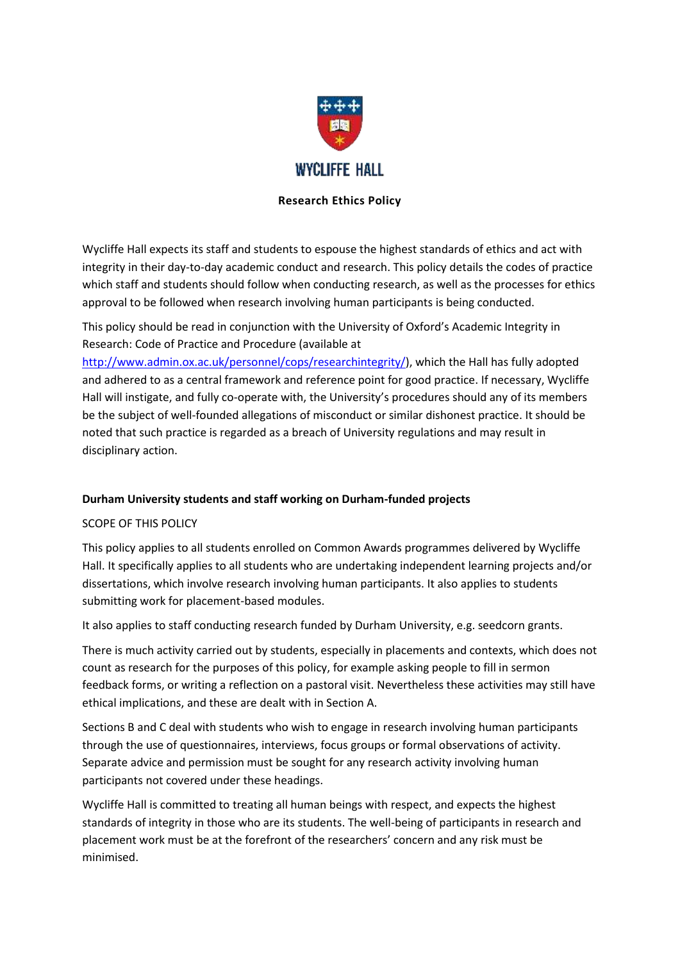

# **Research Ethics Policy**

Wycliffe Hall expects its staff and students to espouse the highest standards of ethics and act with integrity in their day-to-day academic conduct and research. This policy details the codes of practice which staff and students should follow when conducting research, as well as the processes for ethics approval to be followed when research involving human participants is being conducted.

This policy should be read in conjunction with the University of Oxford's Academic Integrity in Research: Code of Practice and Procedure (available at

[http://www.admin.ox.ac.uk/personnel/cops/researchintegrity/\)](http://www.admin.ox.ac.uk/personnel/cops/researchintegrity/), which the Hall has fully adopted and adhered to as a central framework and reference point for good practice. If necessary, Wycliffe Hall will instigate, and fully co-operate with, the University's procedures should any of its members be the subject of well-founded allegations of misconduct or similar dishonest practice. It should be noted that such practice is regarded as a breach of University regulations and may result in disciplinary action.

## **Durham University students and staff working on Durham-funded projects**

## SCOPE OF THIS POLICY

This policy applies to all students enrolled on Common Awards programmes delivered by Wycliffe Hall. It specifically applies to all students who are undertaking independent learning projects and/or dissertations, which involve research involving human participants. It also applies to students submitting work for placement-based modules.

It also applies to staff conducting research funded by Durham University, e.g. seedcorn grants.

There is much activity carried out by students, especially in placements and contexts, which does not count as research for the purposes of this policy, for example asking people to fill in sermon feedback forms, or writing a reflection on a pastoral visit. Nevertheless these activities may still have ethical implications, and these are dealt with in Section A.

Sections B and C deal with students who wish to engage in research involving human participants through the use of questionnaires, interviews, focus groups or formal observations of activity. Separate advice and permission must be sought for any research activity involving human participants not covered under these headings.

Wycliffe Hall is committed to treating all human beings with respect, and expects the highest standards of integrity in those who are its students. The well-being of participants in research and placement work must be at the forefront of the researchers' concern and any risk must be minimised.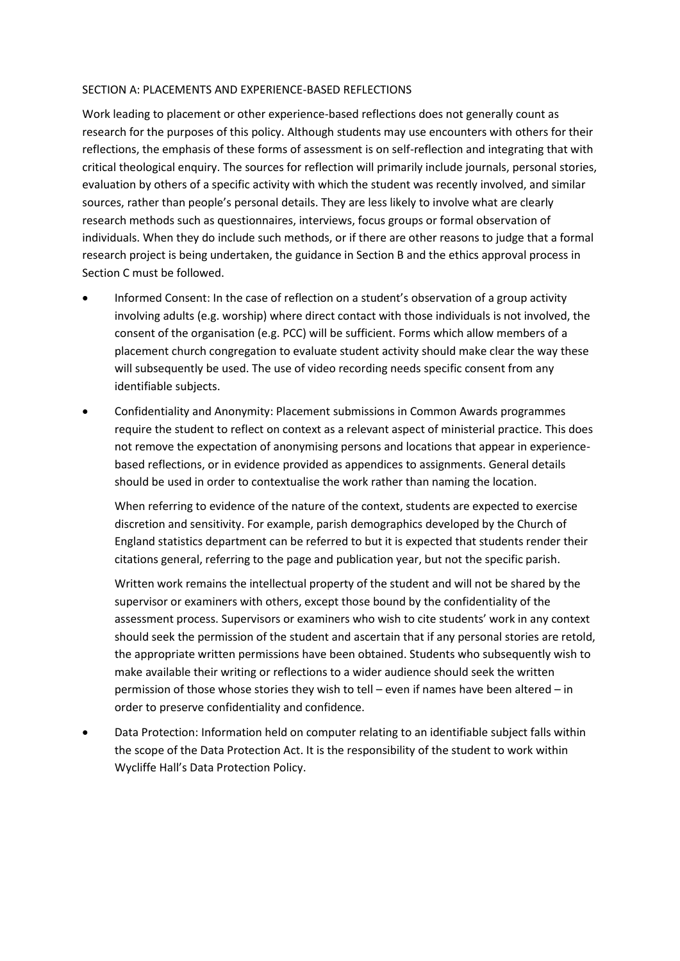#### SECTION A: PLACEMENTS AND EXPERIENCE-BASED REFLECTIONS

Work leading to placement or other experience-based reflections does not generally count as research for the purposes of this policy. Although students may use encounters with others for their reflections, the emphasis of these forms of assessment is on self-reflection and integrating that with critical theological enquiry. The sources for reflection will primarily include journals, personal stories, evaluation by others of a specific activity with which the student was recently involved, and similar sources, rather than people's personal details. They are less likely to involve what are clearly research methods such as questionnaires, interviews, focus groups or formal observation of individuals. When they do include such methods, or if there are other reasons to judge that a formal research project is being undertaken, the guidance in Section B and the ethics approval process in Section C must be followed.

- Informed Consent: In the case of reflection on a student's observation of a group activity involving adults (e.g. worship) where direct contact with those individuals is not involved, the consent of the organisation (e.g. PCC) will be sufficient. Forms which allow members of a placement church congregation to evaluate student activity should make clear the way these will subsequently be used. The use of video recording needs specific consent from any identifiable subjects.
- Confidentiality and Anonymity: Placement submissions in Common Awards programmes require the student to reflect on context as a relevant aspect of ministerial practice. This does not remove the expectation of anonymising persons and locations that appear in experiencebased reflections, or in evidence provided as appendices to assignments. General details should be used in order to contextualise the work rather than naming the location.

When referring to evidence of the nature of the context, students are expected to exercise discretion and sensitivity. For example, parish demographics developed by the Church of England statistics department can be referred to but it is expected that students render their citations general, referring to the page and publication year, but not the specific parish.

Written work remains the intellectual property of the student and will not be shared by the supervisor or examiners with others, except those bound by the confidentiality of the assessment process. Supervisors or examiners who wish to cite students' work in any context should seek the permission of the student and ascertain that if any personal stories are retold, the appropriate written permissions have been obtained. Students who subsequently wish to make available their writing or reflections to a wider audience should seek the written permission of those whose stories they wish to tell – even if names have been altered – in order to preserve confidentiality and confidence.

 Data Protection: Information held on computer relating to an identifiable subject falls within the scope of the Data Protection Act. It is the responsibility of the student to work within Wycliffe Hall's Data Protection Policy.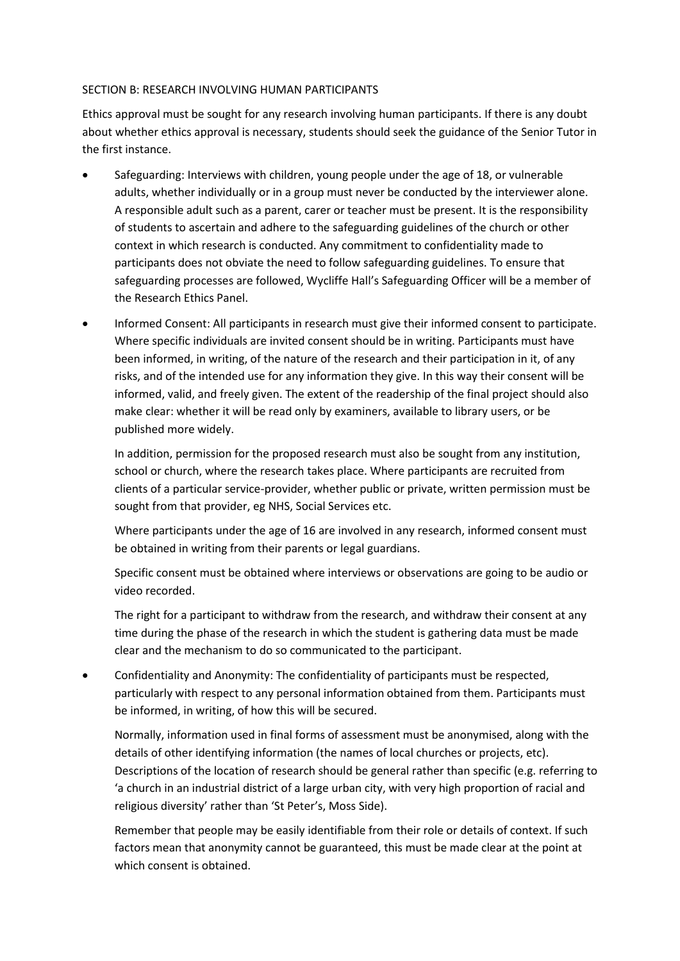### SECTION B: RESEARCH INVOLVING HUMAN PARTICIPANTS

Ethics approval must be sought for any research involving human participants. If there is any doubt about whether ethics approval is necessary, students should seek the guidance of the Senior Tutor in the first instance.

- Safeguarding: Interviews with children, young people under the age of 18, or vulnerable adults, whether individually or in a group must never be conducted by the interviewer alone. A responsible adult such as a parent, carer or teacher must be present. It is the responsibility of students to ascertain and adhere to the safeguarding guidelines of the church or other context in which research is conducted. Any commitment to confidentiality made to participants does not obviate the need to follow safeguarding guidelines. To ensure that safeguarding processes are followed, Wycliffe Hall's Safeguarding Officer will be a member of the Research Ethics Panel.
- Informed Consent: All participants in research must give their informed consent to participate. Where specific individuals are invited consent should be in writing. Participants must have been informed, in writing, of the nature of the research and their participation in it, of any risks, and of the intended use for any information they give. In this way their consent will be informed, valid, and freely given. The extent of the readership of the final project should also make clear: whether it will be read only by examiners, available to library users, or be published more widely.

In addition, permission for the proposed research must also be sought from any institution, school or church, where the research takes place. Where participants are recruited from clients of a particular service-provider, whether public or private, written permission must be sought from that provider, eg NHS, Social Services etc.

Where participants under the age of 16 are involved in any research, informed consent must be obtained in writing from their parents or legal guardians.

Specific consent must be obtained where interviews or observations are going to be audio or video recorded.

The right for a participant to withdraw from the research, and withdraw their consent at any time during the phase of the research in which the student is gathering data must be made clear and the mechanism to do so communicated to the participant.

 Confidentiality and Anonymity: The confidentiality of participants must be respected, particularly with respect to any personal information obtained from them. Participants must be informed, in writing, of how this will be secured.

Normally, information used in final forms of assessment must be anonymised, along with the details of other identifying information (the names of local churches or projects, etc). Descriptions of the location of research should be general rather than specific (e.g. referring to 'a church in an industrial district of a large urban city, with very high proportion of racial and religious diversity' rather than 'St Peter's, Moss Side).

Remember that people may be easily identifiable from their role or details of context. If such factors mean that anonymity cannot be guaranteed, this must be made clear at the point at which consent is obtained.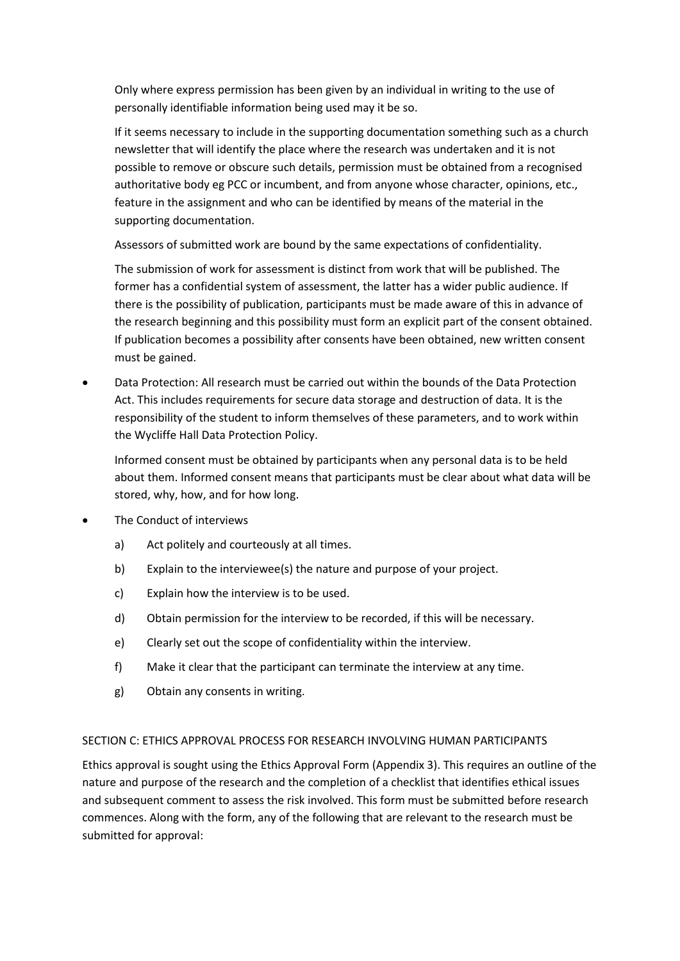Only where express permission has been given by an individual in writing to the use of personally identifiable information being used may it be so.

If it seems necessary to include in the supporting documentation something such as a church newsletter that will identify the place where the research was undertaken and it is not possible to remove or obscure such details, permission must be obtained from a recognised authoritative body eg PCC or incumbent, and from anyone whose character, opinions, etc., feature in the assignment and who can be identified by means of the material in the supporting documentation.

Assessors of submitted work are bound by the same expectations of confidentiality.

The submission of work for assessment is distinct from work that will be published. The former has a confidential system of assessment, the latter has a wider public audience. If there is the possibility of publication, participants must be made aware of this in advance of the research beginning and this possibility must form an explicit part of the consent obtained. If publication becomes a possibility after consents have been obtained, new written consent must be gained.

 Data Protection: All research must be carried out within the bounds of the Data Protection Act. This includes requirements for secure data storage and destruction of data. It is the responsibility of the student to inform themselves of these parameters, and to work within the Wycliffe Hall Data Protection Policy.

Informed consent must be obtained by participants when any personal data is to be held about them. Informed consent means that participants must be clear about what data will be stored, why, how, and for how long.

- The Conduct of interviews
	- a) Act politely and courteously at all times.
	- b) Explain to the interviewee(s) the nature and purpose of your project.
	- c) Explain how the interview is to be used.
	- d) Obtain permission for the interview to be recorded, if this will be necessary.
	- e) Clearly set out the scope of confidentiality within the interview.
	- f) Make it clear that the participant can terminate the interview at any time.
	- g) Obtain any consents in writing.

### SECTION C: ETHICS APPROVAL PROCESS FOR RESEARCH INVOLVING HUMAN PARTICIPANTS

Ethics approval is sought using the Ethics Approval Form (Appendix 3). This requires an outline of the nature and purpose of the research and the completion of a checklist that identifies ethical issues and subsequent comment to assess the risk involved. This form must be submitted before research commences. Along with the form, any of the following that are relevant to the research must be submitted for approval: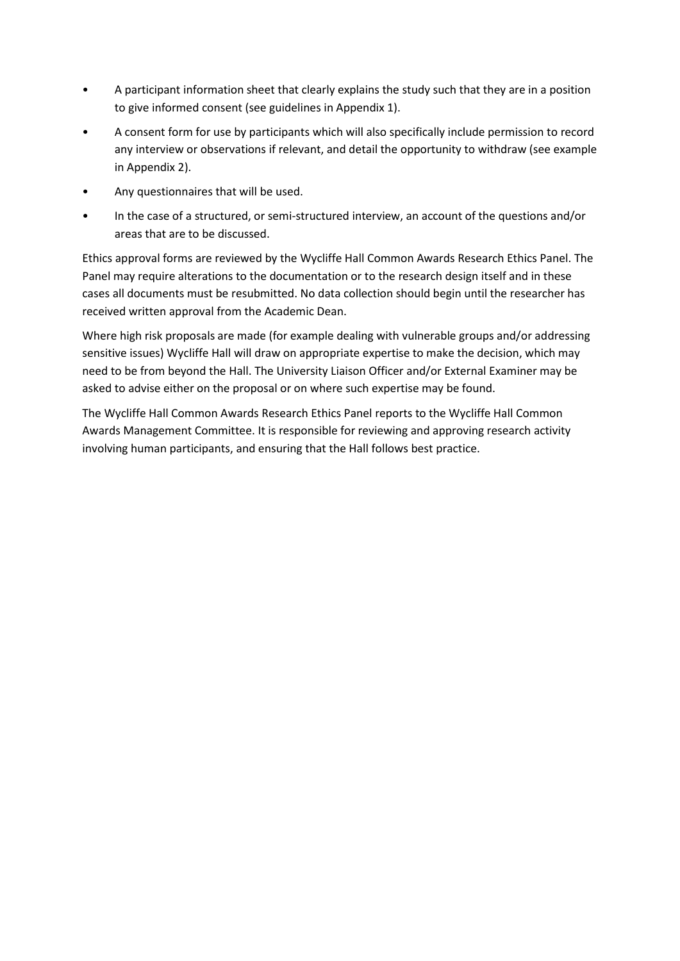- A participant information sheet that clearly explains the study such that they are in a position to give informed consent (see guidelines in Appendix 1).
- A consent form for use by participants which will also specifically include permission to record any interview or observations if relevant, and detail the opportunity to withdraw (see example in Appendix 2).
- Any questionnaires that will be used.
- In the case of a structured, or semi-structured interview, an account of the questions and/or areas that are to be discussed.

Ethics approval forms are reviewed by the Wycliffe Hall Common Awards Research Ethics Panel. The Panel may require alterations to the documentation or to the research design itself and in these cases all documents must be resubmitted. No data collection should begin until the researcher has received written approval from the Academic Dean.

Where high risk proposals are made (for example dealing with vulnerable groups and/or addressing sensitive issues) Wycliffe Hall will draw on appropriate expertise to make the decision, which may need to be from beyond the Hall. The University Liaison Officer and/or External Examiner may be asked to advise either on the proposal or on where such expertise may be found.

The Wycliffe Hall Common Awards Research Ethics Panel reports to the Wycliffe Hall Common Awards Management Committee. It is responsible for reviewing and approving research activity involving human participants, and ensuring that the Hall follows best practice.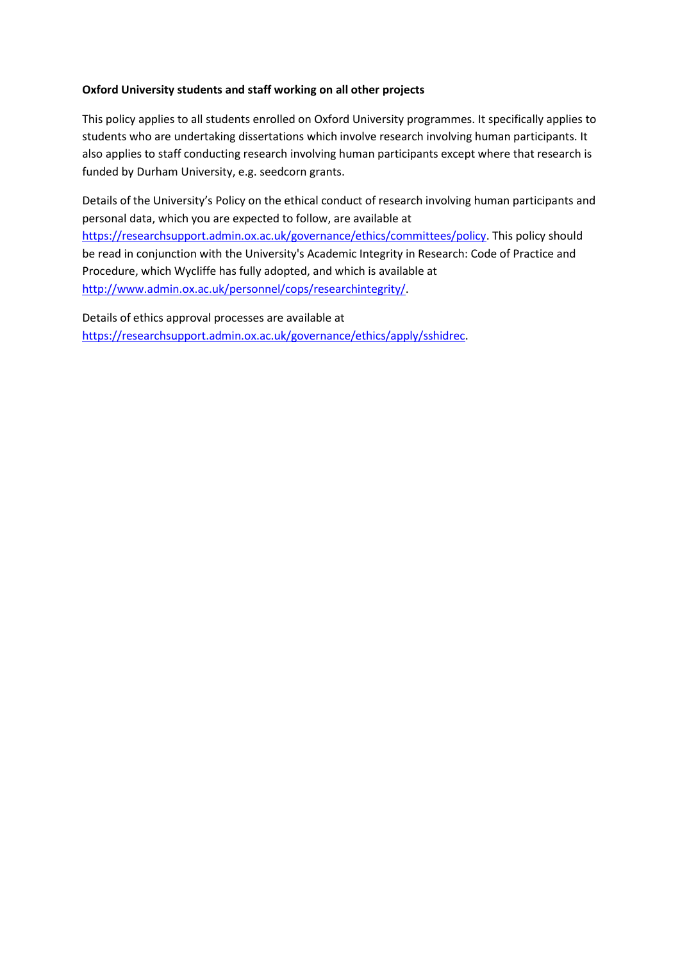## **Oxford University students and staff working on all other projects**

This policy applies to all students enrolled on Oxford University programmes. It specifically applies to students who are undertaking dissertations which involve research involving human participants. It also applies to staff conducting research involving human participants except where that research is funded by Durham University, e.g. seedcorn grants.

Details of the University's Policy on the ethical conduct of research involving human participants and personal data, which you are expected to follow, are available at [https://researchsupport.admin.ox.ac.uk/governance/ethics/committees/policy.](https://researchsupport.admin.ox.ac.uk/governance/ethics/committees/policy) This policy should be read in conjunction with the University's Academic Integrity in Research: Code of Practice and Procedure, which Wycliffe has fully adopted, and which is available at [http://www.admin.ox.ac.uk/personnel/cops/researchintegrity/.](http://www.admin.ox.ac.uk/personnel/cops/researchintegrity/)

Details of ethics approval processes are available at [https://researchsupport.admin.ox.ac.uk/governance/ethics/apply/sshidrec.](https://researchsupport.admin.ox.ac.uk/governance/ethics/apply/sshidrec)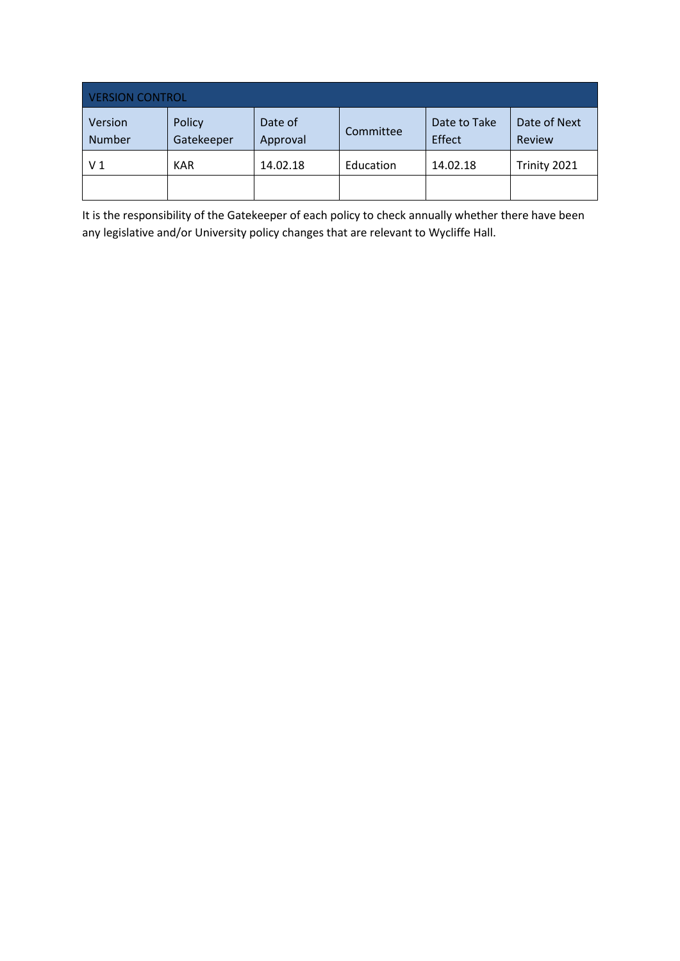| <b>VERSION CONTROL</b>   |                      |                     |           |                        |                        |  |  |
|--------------------------|----------------------|---------------------|-----------|------------------------|------------------------|--|--|
| Version<br><b>Number</b> | Policy<br>Gatekeeper | Date of<br>Approval | Committee | Date to Take<br>Effect | Date of Next<br>Review |  |  |
| V <sub>1</sub>           | <b>KAR</b>           | 14.02.18            | Education | 14.02.18               | Trinity 2021           |  |  |
|                          |                      |                     |           |                        |                        |  |  |

It is the responsibility of the Gatekeeper of each policy to check annually whether there have been any legislative and/or University policy changes that are relevant to Wycliffe Hall.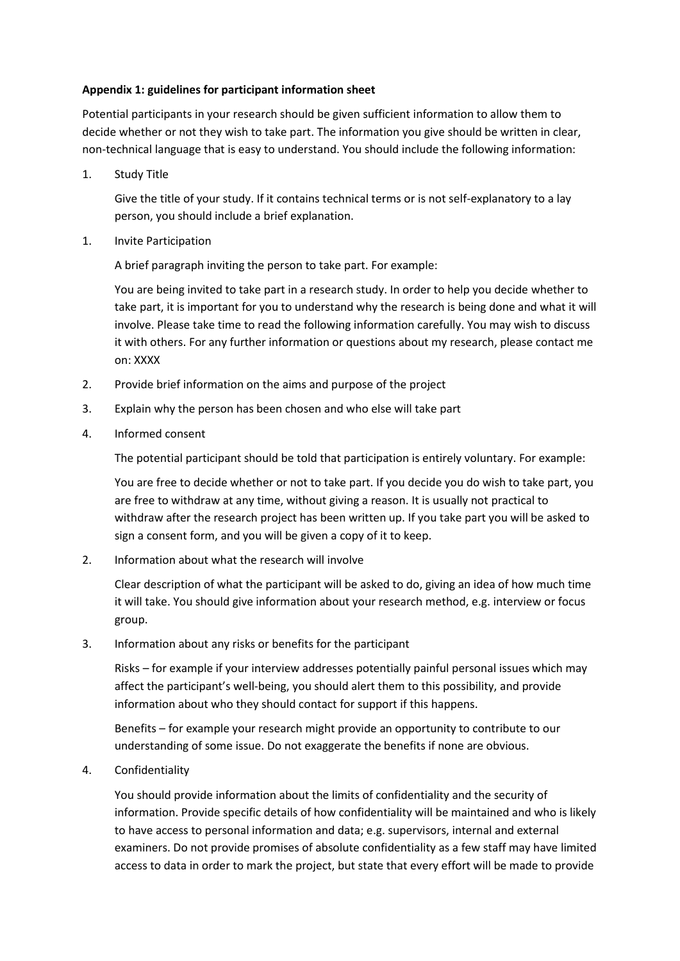## **Appendix 1: guidelines for participant information sheet**

Potential participants in your research should be given sufficient information to allow them to decide whether or not they wish to take part. The information you give should be written in clear, non-technical language that is easy to understand. You should include the following information:

1. Study Title

Give the title of your study. If it contains technical terms or is not self-explanatory to a lay person, you should include a brief explanation.

1. Invite Participation

A brief paragraph inviting the person to take part. For example:

You are being invited to take part in a research study. In order to help you decide whether to take part, it is important for you to understand why the research is being done and what it will involve. Please take time to read the following information carefully. You may wish to discuss it with others. For any further information or questions about my research, please contact me on: XXXX

- 2. Provide brief information on the aims and purpose of the project
- 3. Explain why the person has been chosen and who else will take part
- 4. Informed consent

The potential participant should be told that participation is entirely voluntary. For example:

You are free to decide whether or not to take part. If you decide you do wish to take part, you are free to withdraw at any time, without giving a reason. It is usually not practical to withdraw after the research project has been written up. If you take part you will be asked to sign a consent form, and you will be given a copy of it to keep.

2. Information about what the research will involve

Clear description of what the participant will be asked to do, giving an idea of how much time it will take. You should give information about your research method, e.g. interview or focus group.

3. Information about any risks or benefits for the participant

Risks – for example if your interview addresses potentially painful personal issues which may affect the participant's well-being, you should alert them to this possibility, and provide information about who they should contact for support if this happens.

Benefits – for example your research might provide an opportunity to contribute to our understanding of some issue. Do not exaggerate the benefits if none are obvious.

4. Confidentiality

You should provide information about the limits of confidentiality and the security of information. Provide specific details of how confidentiality will be maintained and who is likely to have access to personal information and data; e.g. supervisors, internal and external examiners. Do not provide promises of absolute confidentiality as a few staff may have limited access to data in order to mark the project, but state that every effort will be made to provide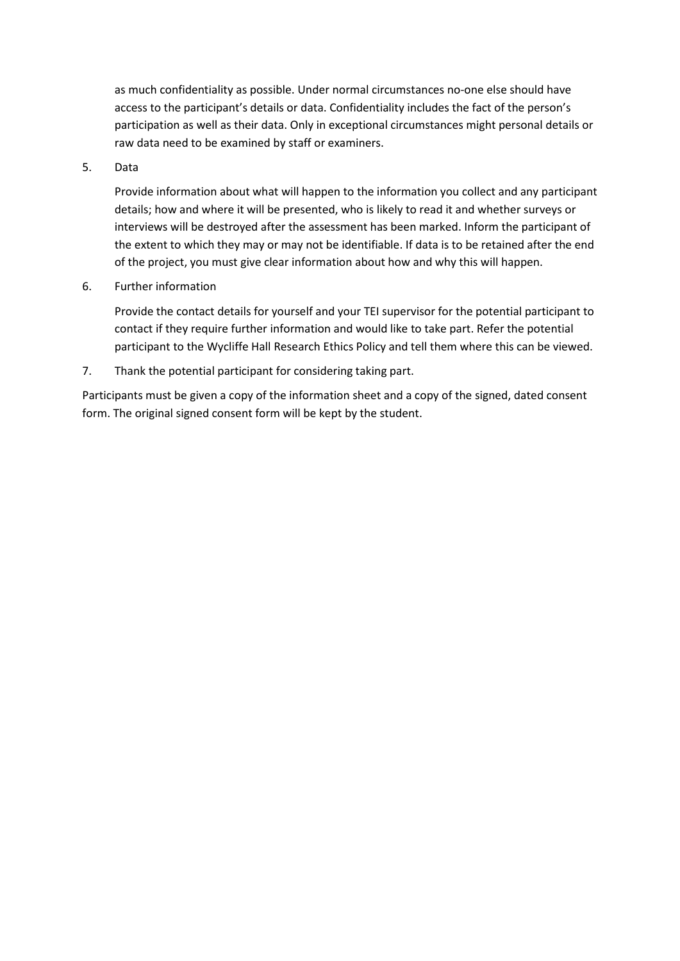as much confidentiality as possible. Under normal circumstances no-one else should have access to the participant's details or data. Confidentiality includes the fact of the person's participation as well as their data. Only in exceptional circumstances might personal details or raw data need to be examined by staff or examiners.

5. Data

Provide information about what will happen to the information you collect and any participant details; how and where it will be presented, who is likely to read it and whether surveys or interviews will be destroyed after the assessment has been marked. Inform the participant of the extent to which they may or may not be identifiable. If data is to be retained after the end of the project, you must give clear information about how and why this will happen.

6. Further information

Provide the contact details for yourself and your TEI supervisor for the potential participant to contact if they require further information and would like to take part. Refer the potential participant to the Wycliffe Hall Research Ethics Policy and tell them where this can be viewed.

7. Thank the potential participant for considering taking part.

Participants must be given a copy of the information sheet and a copy of the signed, dated consent form. The original signed consent form will be kept by the student.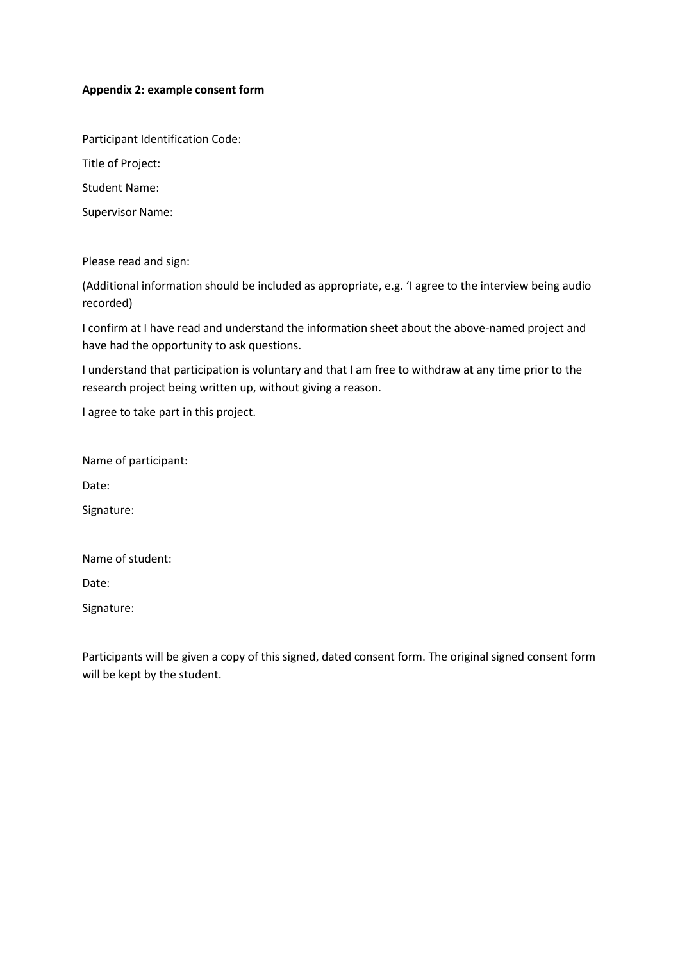### **Appendix 2: example consent form**

Participant Identification Code:

Title of Project:

Student Name:

Supervisor Name:

Please read and sign:

(Additional information should be included as appropriate, e.g. 'I agree to the interview being audio recorded)

I confirm at I have read and understand the information sheet about the above-named project and have had the opportunity to ask questions.

I understand that participation is voluntary and that I am free to withdraw at any time prior to the research project being written up, without giving a reason.

I agree to take part in this project.

Name of participant:

Date:

Signature:

Name of student:

Date:

Signature:

Participants will be given a copy of this signed, dated consent form. The original signed consent form will be kept by the student.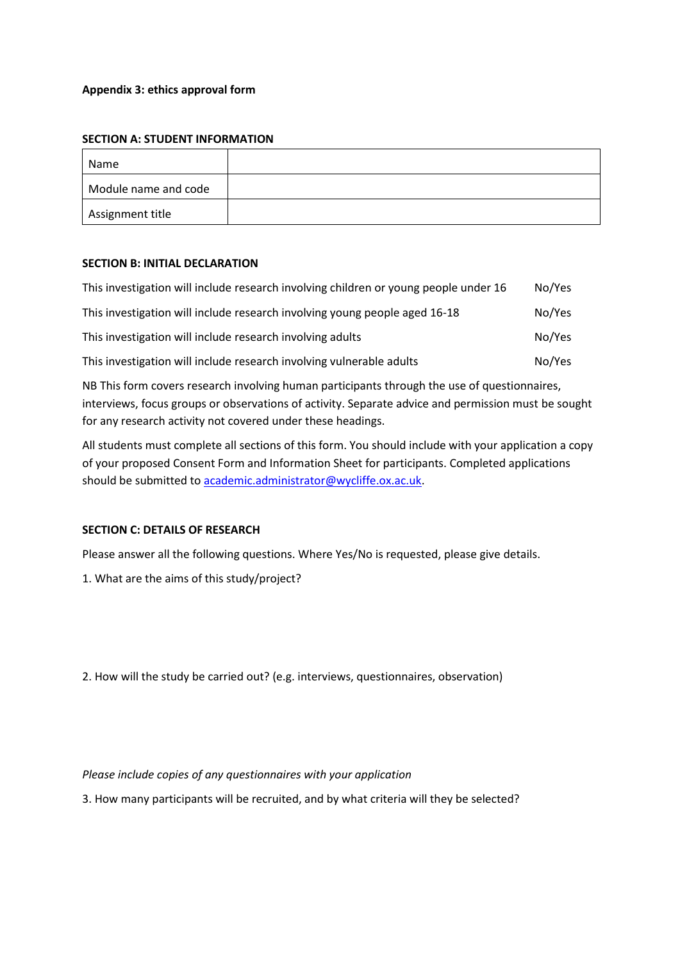### **Appendix 3: ethics approval form**

#### **SECTION A: STUDENT INFORMATION**

| Name                 |  |
|----------------------|--|
| Module name and code |  |
| Assignment title     |  |

### **SECTION B: INITIAL DECLARATION**

| This investigation will include research involving children or young people under 16 | No/Yes |
|--------------------------------------------------------------------------------------|--------|
| This investigation will include research involving young people aged 16-18           | No/Yes |
| This investigation will include research involving adults                            | No/Yes |
| This investigation will include research involving vulnerable adults                 | No/Yes |

NB This form covers research involving human participants through the use of questionnaires, interviews, focus groups or observations of activity. Separate advice and permission must be sought for any research activity not covered under these headings.

All students must complete all sections of this form. You should include with your application a copy of your proposed Consent Form and Information Sheet for participants. Completed applications should be submitted to [academic.administrator@wycliffe.ox.ac.uk.](mailto:academic.administrator@wycliffe.ox.ac.uk)

### **SECTION C: DETAILS OF RESEARCH**

Please answer all the following questions. Where Yes/No is requested, please give details.

1. What are the aims of this study/project?

2. How will the study be carried out? (e.g. interviews, questionnaires, observation)

*Please include copies of any questionnaires with your application* 

3. How many participants will be recruited, and by what criteria will they be selected?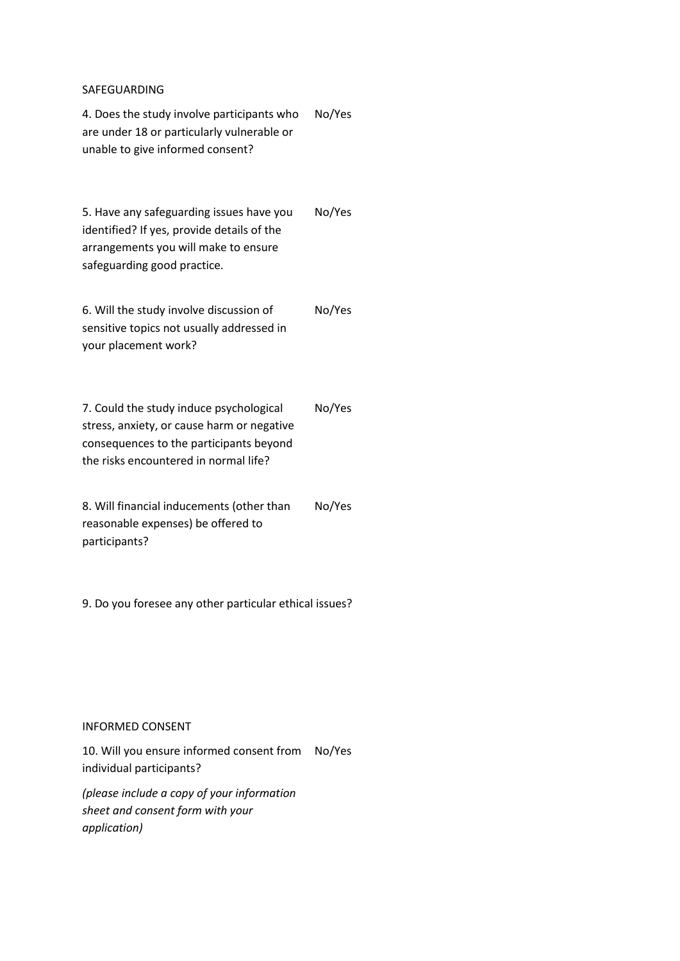#### SAFEGUARDING

4. Does the study involve participants who are under 18 or particularly vulnerable or unable to give informed consent? No/Yes

5. Have any safeguarding issues have you identified? If yes, provide details of the arrangements you will make to ensure safeguarding good practice. No/Yes

6. Will the study involve discussion of sensitive topics not usually addressed in your placement work? No/Yes

7. Could the study induce psychological stress, anxiety, or cause harm or negative consequences to the participants beyond the risks encountered in normal life? No/Yes

8. Will financial inducements (other than reasonable expenses) be offered to participants? No/Yes

9. Do you foresee any other particular ethical issues?

#### INFORMED CONSENT

10. Will you ensure informed consent from No/Yes individual participants?

*(please include a copy of your information sheet and consent form with your application)*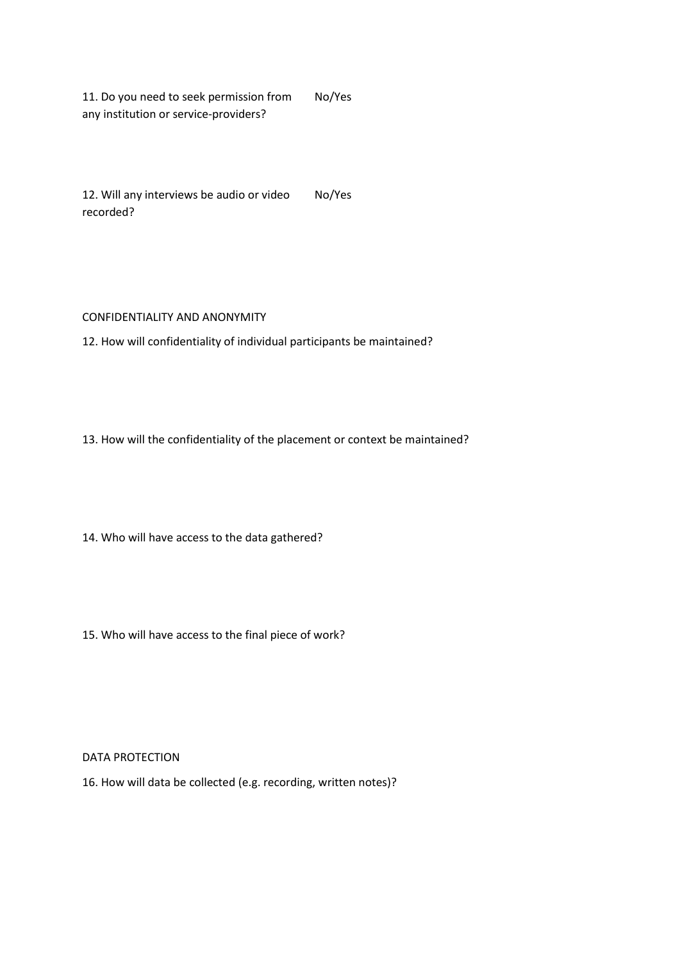11. Do you need to seek permission from any institution or service-providers? No/Yes

12. Will any interviews be audio or video recorded? No/Yes

#### CONFIDENTIALITY AND ANONYMITY

12. How will confidentiality of individual participants be maintained?

13. How will the confidentiality of the placement or context be maintained?

14. Who will have access to the data gathered?

15. Who will have access to the final piece of work?

DATA PROTECTION

16. How will data be collected (e.g. recording, written notes)?